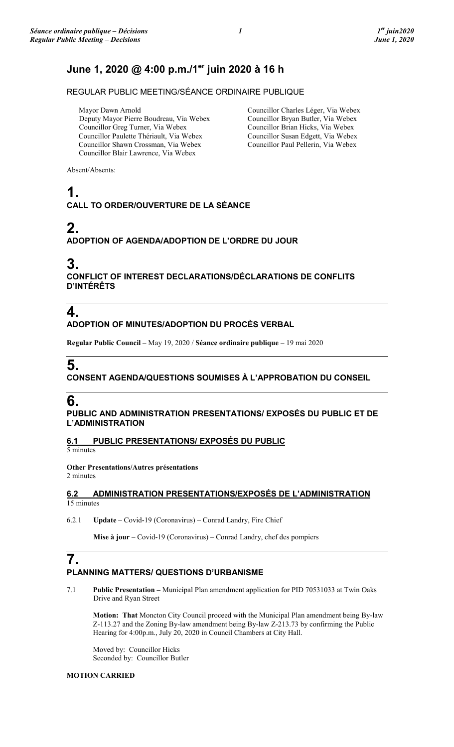## **June 1, 2020 @ 4:00 p.m./1er juin 2020 à 16 h**

REGULAR PUBLIC MEETING/SÉANCE ORDINAIRE PUBLIQUE

Mayor Dawn Arnold Deputy Mayor Pierre Boudreau, Via Webex Councillor Greg Turner, Via Webex Councillor Paulette Thériault, Via Webex Councillor Shawn Crossman, Via Webex Councillor Blair Lawrence, Via Webex

Councillor Charles Léger, Via Webex Councillor Bryan Butler, Via Webex Councillor Brian Hicks, Via Webex Councillor Susan Edgett, Via Webex Councillor Paul Pellerin, Via Webex

Absent/Absents:

## **1. CALL TO ORDER/OUVERTURE DE LA SÉANCE**

# **2.**

### **ADOPTION OF AGENDA/ADOPTION DE L'ORDRE DU JOUR**

## **3.**

**CONFLICT OF INTEREST DECLARATIONS/DÉCLARATIONS DE CONFLITS D'INTÉRÊTS**

# **4.**

### **ADOPTION OF MINUTES/ADOPTION DU PROCÈS VERBAL**

**Regular Public Council** – May 19, 2020 / **Séance ordinaire publique** – 19 mai 2020

# **5.**

### **CONSENT AGENDA/QUESTIONS SOUMISES À L'APPROBATION DU CONSEIL**

## **6.**

**PUBLIC AND ADMINISTRATION PRESENTATIONS/ EXPOSÉS DU PUBLIC ET DE L'ADMINISTRATION**

### **6.1 PUBLIC PRESENTATIONS/ EXPOSÉS DU PUBLIC**

5 minutes

**Other Presentations/Autres présentations** 

2 minutes

### **6.2 ADMINISTRATION PRESENTATIONS/EXPOSÉS DE L'ADMINISTRATION**  15 minutes

6.2.1 **Update** – Covid-19 (Coronavirus) – Conrad Landry, Fire Chief

**Mise à jour** – Covid-19 (Coronavirus) – Conrad Landry, chef des pompiers

## **7. PLANNING MATTERS/ QUESTIONS D'URBANISME**

7.1 **Public Presentation –** Municipal Plan amendment application for PID 70531033 at Twin Oaks Drive and Ryan Street

**Motion: That** Moncton City Council proceed with the Municipal Plan amendment being By-law Z-113.27 and the Zoning By-law amendment being By-law Z-213.73 by confirming the Public Hearing for 4:00p.m., July 20, 2020 in Council Chambers at City Hall.

Moved by: Councillor Hicks Seconded by: Councillor Butler

#### **MOTION CARRIED**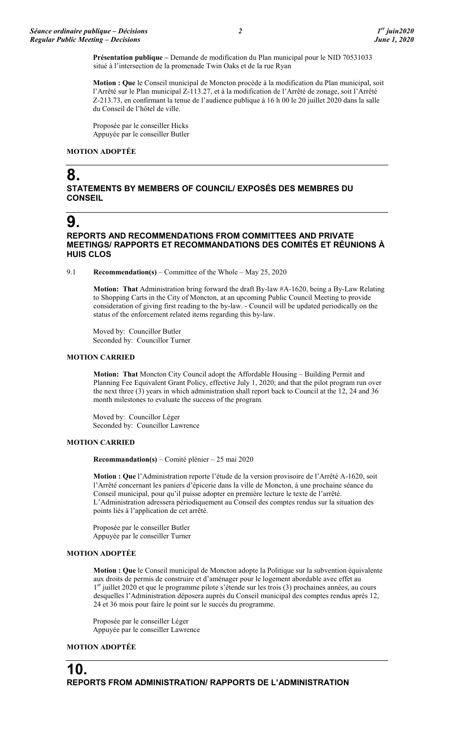**Présentation publique –** Demande de modification du Plan municipal pour le NID 70531033 situé à l'intersection de la promenade Twin Oaks et de la rue Ryan

**Motion : Que** le Conseil municipal de Moncton procède à la modification du Plan municipal, soit l'Arrêté sur le Plan municipal Z-113.27, et à la modification de l'Arrêté de zonage, soit l'Arrêté Z-213.73, en confirmant la tenue de l'audience publique à 16 h 00 le 20 juillet 2020 dans la salle du Conseil de l'hôtel de ville.

Proposée par le conseiller Hicks Appuyée par le conseiller Butler

#### **MOTION ADOPTÉE**

## **8.**

#### **STATEMENTS BY MEMBERS OF COUNCIL/ EXPOSÉS DES MEMBRES DU CONSEIL**

## **9.**

#### **REPORTS AND RECOMMENDATIONS FROM COMMITTEES AND PRIVATE MEETINGS/ RAPPORTS ET RECOMMANDATIONS DES COMITÉS ET RÉUNIONS À HUIS CLOS**

9.1 **Recommendation(s)** – Committee of the Whole – May 25, 2020

**Motion: That** Administration bring forward the draft By-law #A-1620, being a By-Law Relating to Shopping Carts in the City of Moncton, at an upcoming Public Council Meeting to provide consideration of giving first reading to the by-law. - Council will be updated periodically on the status of the enforcement related items regarding this by-law.

Moved by: Councillor Butler Seconded by: Councillor Turner

#### **MOTION CARRIED**

**Motion: That** Moncton City Council adopt the Affordable Housing – Building Permit and Planning Fee Equivalent Grant Policy, effective July 1, 2020; and that the pilot program run over the next three (3) years in which administration shall report back to Council at the 12, 24 and 36 month milestones to evaluate the success of the program.

Moved by: Councillor Léger Seconded by: Councillor Lawrence

#### **MOTION CARRIED**

**Recommandation(s)** – Comité plénier – 25 mai 2020

**Motion : Que** l'Administration reporte l'étude de la version provisoire de l'Arrêté A-1620, soit l'Arrêté concernant les paniers d'épicerie dans la ville de Moncton, à une prochaine séance du Conseil municipal, pour qu'il puisse adopter en première lecture le texte de l'arrêté. L'Administration adressera périodiquement au Conseil des comptes rendus sur la situation des points liés à l'application de cet arrêté.

Proposée par le conseiller Butler Appuyée par le conseiller Turner

#### **MOTION ADOPTÉE**

**Motion : Que** le Conseil municipal de Moncton adopte la Politique sur la subvention équivalente aux droits de permis de construire et d'aménager pour le logement abordable avec effet au 1<sup>er</sup> juillet 2020 et que le programme pilote s'étende sur les trois (3) prochaines années, au cours desquelles l'Administration déposera auprès du Conseil municipal des comptes rendus après 12, 24 et 36 mois pour faire le point sur le succès du programme.

Proposée par le conseiller Léger Appuyée par le conseiller Lawrence

#### **MOTION ADOPTÉE**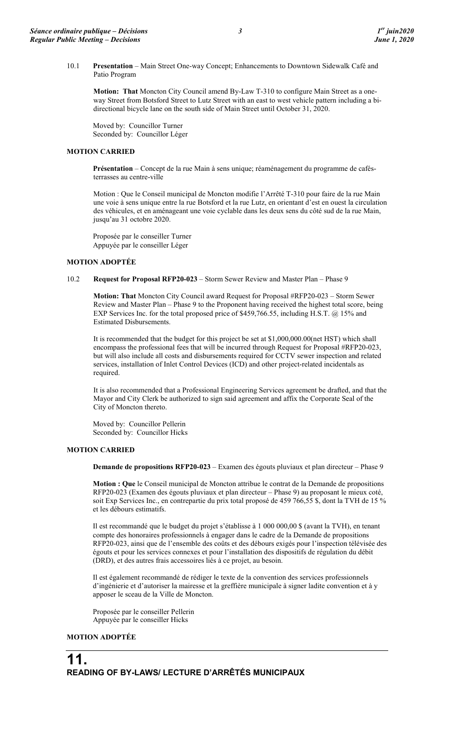**Motion: That** Moncton City Council amend By-Law T-310 to configure Main Street as a oneway Street from Botsford Street to Lutz Street with an east to west vehicle pattern including a bidirectional bicycle lane on the south side of Main Street until October 31, 2020.

Moved by: Councillor Turner Seconded by: Councillor Léger

### **MOTION CARRIED**

**Présentation** – Concept de la rue Main à sens unique; réaménagement du programme de cafésterrasses au centre-ville

Motion : Que le Conseil municipal de Moncton modifie l'Arrêté T-310 pour faire de la rue Main une voie à sens unique entre la rue Botsford et la rue Lutz, en orientant d'est en ouest la circulation des véhicules, et en aménageant une voie cyclable dans les deux sens du côté sud de la rue Main, jusqu'au 31 octobre 2020.

Proposée par le conseiller Turner Appuyée par le conseiller Léger

### **MOTION ADOPTÉE**

### 10.2 **Request for Proposal RFP20-023** – Storm Sewer Review and Master Plan – Phase 9

**Motion: That** Moncton City Council award Request for Proposal #RFP20-023 – Storm Sewer Review and Master Plan – Phase 9 to the Proponent having received the highest total score, being EXP Services Inc. for the total proposed price of \$459,766.55, including H.S.T. @ 15% and Estimated Disbursements.

It is recommended that the budget for this project be set at \$1,000,000.00(net HST) which shall encompass the professional fees that will be incurred through Request for Proposal #RFP20-023, but will also include all costs and disbursements required for CCTV sewer inspection and related services, installation of Inlet Control Devices (ICD) and other project-related incidentals as required.

It is also recommended that a Professional Engineering Services agreement be drafted, and that the Mayor and City Clerk be authorized to sign said agreement and affix the Corporate Seal of the City of Moncton thereto.

Moved by: Councillor Pellerin Seconded by: Councillor Hicks

### **MOTION CARRIED**

**Demande de propositions RFP20-023** – Examen des égouts pluviaux et plan directeur – Phase 9

**Motion : Que** le Conseil municipal de Moncton attribue le contrat de la Demande de propositions RFP20-023 (Examen des égouts pluviaux et plan directeur – Phase 9) au proposant le mieux coté, soit Exp Services Inc., en contrepartie du prix total proposé de 459 766,55 \$, dont la TVH de 15 % et les débours estimatifs.

Il est recommandé que le budget du projet s'établisse à 1 000 000,00 \$ (avant la TVH), en tenant compte des honoraires professionnels à engager dans le cadre de la Demande de propositions RFP20-023, ainsi que de l'ensemble des coûts et des débours exigés pour l'inspection télévisée des égouts et pour les services connexes et pour l'installation des dispositifs de régulation du débit (DRD), et des autres frais accessoires liés à ce projet, au besoin.

Il est également recommandé de rédiger le texte de la convention des services professionnels d'ingénierie et d'autoriser la mairesse et la greffière municipale à signer ladite convention et à y apposer le sceau de la Ville de Moncton.

Proposée par le conseiller Pellerin Appuyée par le conseiller Hicks

### **MOTION ADOPTÉE**